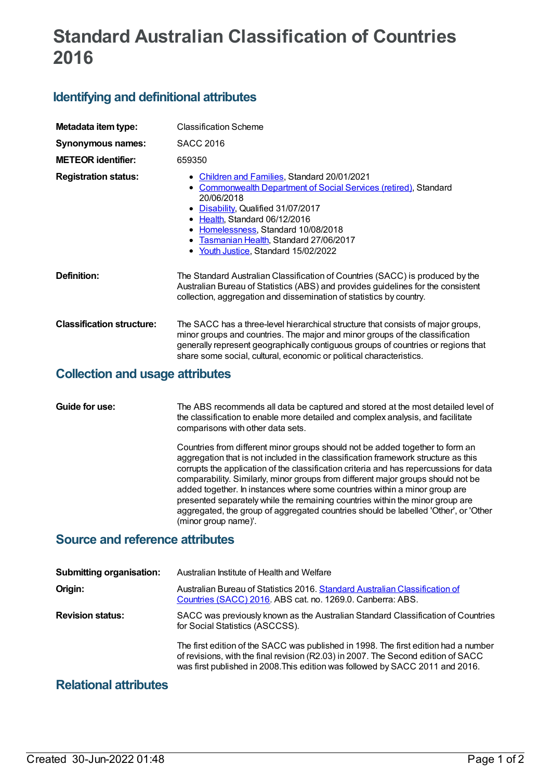# **Standard Australian Classification of Countries 2016**

## **Identifying and definitional attributes**

| Metadata item type:                    | <b>Classification Scheme</b>                                                                                                                                                                                                                                                                                                                  |
|----------------------------------------|-----------------------------------------------------------------------------------------------------------------------------------------------------------------------------------------------------------------------------------------------------------------------------------------------------------------------------------------------|
| <b>Synonymous names:</b>               | <b>SACC 2016</b>                                                                                                                                                                                                                                                                                                                              |
| <b>METEOR identifier:</b>              | 659350                                                                                                                                                                                                                                                                                                                                        |
| <b>Registration status:</b>            | • Children and Families, Standard 20/01/2021<br>• Commonwealth Department of Social Services (retired), Standard<br>20/06/2018<br>• Disability, Qualified 31/07/2017<br>• Health, Standard 06/12/2016<br>Homelessness, Standard 10/08/2018<br>$\bullet$<br>Tasmanian Health, Standard 27/06/2017<br>٠<br>• Youth Justice, Standard 15/02/2022 |
| Definition:                            | The Standard Australian Classification of Countries (SACC) is produced by the<br>Australian Bureau of Statistics (ABS) and provides guidelines for the consistent<br>collection, aggregation and dissemination of statistics by country.                                                                                                      |
| <b>Classification structure:</b>       | The SACC has a three-level hierarchical structure that consists of major groups,<br>minor groups and countries. The major and minor groups of the classification<br>generally represent geographically contiguous groups of countries or regions that<br>share some social, cultural, economic or political characteristics.                  |
| <b>Collection and usage attributes</b> |                                                                                                                                                                                                                                                                                                                                               |

#### **Guide for use:** The ABS recommends all data be captured and stored at the most detailed level of the classification to enable more detailed and complex analysis, and facilitate comparisons with other data sets.

Countries from different minor groups should not be added together to form an aggregation that is not included in the classification framework structure as this corrupts the application of the classification criteria and has repercussions for data comparability. Similarly, minor groups from different major groups should not be added together. In instances where some countries within a minor group are presented separately while the remaining countries within the minor group are aggregated, the group of aggregated countries should be labelled 'Other', or 'Other (minor group name)'.

### **Source and reference attributes**

| <b>Submitting organisation:</b> | Australian Institute of Health and Welfare                                                                                                                                                                                                                |
|---------------------------------|-----------------------------------------------------------------------------------------------------------------------------------------------------------------------------------------------------------------------------------------------------------|
| Origin:                         | Australian Bureau of Statistics 2016. Standard Australian Classification of<br>Countries (SACC) 2016. ABS cat. no. 1269.0. Canberra: ABS.                                                                                                                 |
| <b>Revision status:</b>         | SACC was previously known as the Australian Standard Classification of Countries<br>for Social Statistics (ASCCSS).                                                                                                                                       |
|                                 | The first edition of the SACC was published in 1998. The first edition had a number<br>of revisions, with the final revision (R2.03) in 2007. The Second edition of SACC<br>was first published in 2008. This edition was followed by SACC 2011 and 2016. |

## **Relational attributes**